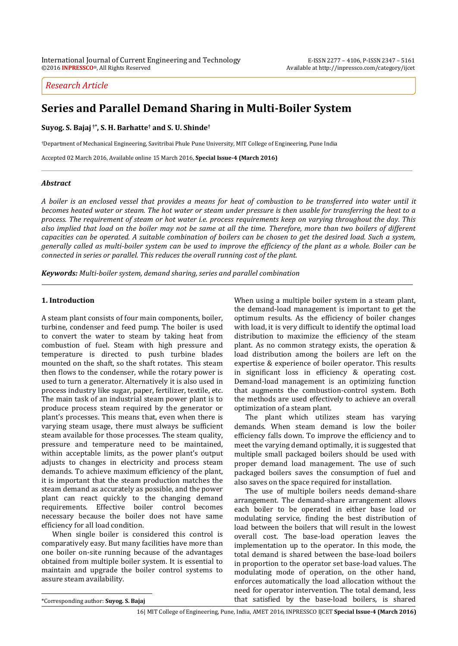# *Research Article*

# **Series and Parallel Demand Sharing in Multi-Boiler System**

**Suyog. S. Bajaj †\* , S. H. Barhatte† and S. U. Shinde†**

†Department of Mechanical Engineering, Savitribai Phule Pune University, MIT College of Engineering, Pune India

Accepted 02 March 2016, Available online 15 March 2016, **Special Issue-4 (March 2016)**

### *Abstract*

*A boiler is an enclosed vessel that provides a means for heat of combustion to be transferred into water until it becomes heated water or steam. The hot water or steam under pressure is then usable for transferring the heat to a process. The requirement of steam or hot water i.e. process requirements keep on varying throughout the day. This also implied that load on the boiler may not be same at all the time. Therefore, more than two boilers of different capacities can be operated. A suitable combination of boilers can be chosen to get the desired load. Such a system, generally called as multi-boiler system can be used to improve the efficiency of the plant as a whole. Boiler can be connected in series or parallel. This reduces the overall running cost of the plant.*

*Keywords: Multi-boiler system, demand sharing, series and parallel combination* 

### **1. Introduction**

<sup>1</sup> A steam plant consists of four main components, boiler, turbine, condenser and feed pump. The boiler is used to convert the water to steam by taking heat from combustion of fuel. Steam with high pressure and temperature is directed to push turbine blades mounted on the shaft, so the shaft rotates. This steam then flows to the condenser, while the rotary power is used to turn a generator. Alternatively it is also used in process industry like sugar, paper, fertilizer, textile, etc. The main task of an industrial steam power plant is to produce process steam required by the generator or plant's processes. This means that, even when there is varying steam usage, there must always be sufficient steam available for those processes. The steam quality, pressure and temperature need to be maintained, within acceptable limits, as the power plant's output adjusts to changes in electricity and process steam demands. To achieve maximum efficiency of the plant, it is important that the steam production matches the steam demand as accurately as possible, and the power plant can react quickly to the changing demand requirements. Effective boiler control becomes necessary because the boiler does not have same efficiency for all load condition.

 When single boiler is considered this control is comparatively easy. But many facilities have more than one boiler on-site running because of the advantages obtained from multiple boiler system. It is essential to maintain and upgrade the boiler control systems to assure steam availability.

When using a multiple boiler system in a steam plant, the demand-load management is important to get the optimum results. As the efficiency of boiler changes with load, it is very difficult to identify the optimal load distribution to maximize the efficiency of the steam plant. As no common strategy exists, the operation & load distribution among the boilers are left on the expertise & experience of boiler operator. This results in significant loss in efficiency & operating cost. Demand-load management is an optimizing function that augments the combustion-control system. Both the methods are used effectively to achieve an overall optimization of a steam plant.

 The plant which utilizes steam has varying demands. When steam demand is low the boiler efficiency falls down. To improve the efficiency and to meet the varying demand optimally, it is suggested that multiple small packaged boilers should be used with proper demand load management. The use of such packaged boilers saves the consumption of fuel and also saves on the space required for installation.

 The use of multiple boilers needs demand-share arrangement. The demand-share arrangement allows each boiler to be operated in either base load or modulating service, finding the best distribution of load between the boilers that will result in the lowest overall cost. The base-load operation leaves the implementation up to the operator. In this mode, the total demand is shared between the base-load boilers in proportion to the operator set base-load values. The modulating mode of operation, on the other hand, enforces automatically the load allocation without the need for operator intervention. The total demand, less that satisfied by the base-load boilers, is shared

\*Corresponding author: **Suyog. S. Bajaj**

 $\overline{a}$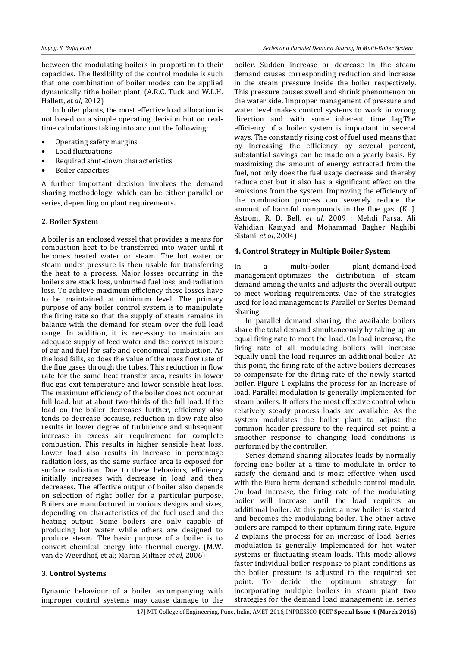between the modulating boilers in proportion to their capacities. The flexibility of the control module is such that one combination of boiler modes can be applied dynamically tithe boiler plant. (A.R.C. Tuck and W.L.H. Hallett, *et al*, 2012)

 In boiler plants, the most effective load allocation is not based on a simple operating decision but on realtime calculations taking into account the following:

- Operating safety margins
- Load fluctuations
- Required shut-down characteristics
- Boiler capacities

A further important decision involves the demand sharing methodology, which can be either parallel or series, depending on plant requirements.

### **2. Boiler System**

A boiler is an enclosed vessel that provides a means for combustion heat to be transferred into water until it becomes heated water or steam. The hot water or steam under pressure is then usable for transferring the heat to a process. Major losses occurring in the boilers are stack loss, unburned fuel loss, and radiation loss. To achieve maximum efficiency these losses have to be maintained at minimum level. The primary purpose of any boiler control system is to manipulate the firing rate so that the supply of steam remains in balance with the demand for steam over the full load range. In addition, it is necessary to maintain an adequate supply of feed water and the correct mixture of air and fuel for safe and economical combustion. As the load falls, so does the value of the mass flow rate of the flue gases through the tubes. This reduction in flow rate for the same heat transfer area, results in lower flue gas exit temperature and lower sensible heat loss. The maximum efficiency of the boiler does not occur at full load, but at about two-thirds of the full load. If the load on the boiler decreases further, efficiency also tends to decrease because, reduction in flow rate also results in lower degree of turbulence and subsequent increase in excess air requirement for complete combustion. This results in higher sensible heat loss. Lower load also results in increase in percentage radiation loss, as the same surface area is exposed for surface radiation. Due to these behaviors, efficiency initially increases with decrease in load and then decreases. The effective output of boiler also depends on selection of right boiler for a particular purpose. Boilers are manufactured in various designs and sizes, depending on characteristics of the fuel used and the heating output. Some boilers are only capable of producing hot water while others are designed to produce steam. The basic purpose of a boiler is to convert chemical energy into thermal energy. (M.W. van de Weerdhof, et al; Martin Miltner *et al*, 2006)

## **3. Control Systems**

Dynamic behaviour of a boiler accompanying with improper control systems may cause damage to the

boiler. Sudden increase or decrease in the steam demand causes corresponding reduction and increase in the steam pressure inside the boiler respectively. This pressure causes swell and shrink phenomenon on the water side. Improper management of pressure and water level makes control systems to work in wrong direction and with some inherent time lag.The efficiency of a boiler system is important in several ways. The constantly rising cost of fuel used means that by increasing the efficiency by several percent, substantial savings can be made on a yearly basis. By maximizing the amount of energy extracted from the fuel, not only does the fuel usage decrease and thereby reduce cost but it also has a significant effect on the emissions from the system. Improving the efficiency of the combustion process can severely reduce the amount of harmful compounds in the flue gas. (K. J. Astrom, R. D. Bell, *et al*, 2009 ; Mehdi Parsa, Ali Vahidian Kamyad and Mohammad Bagher Naghibi Sistani, *et al*, 2004)

### **4. Control Strategy in Multiple Boiler System**

In a multi-boiler plant, demand-load management optimizes the distribution of steam demand among the units and adjusts the overall output to meet working requirements. One of the strategies used for load management is Parallel or Series Demand Sharing.

 In parallel demand sharing, the available boilers share the total demand simultaneously by taking up an equal firing rate to meet the load. On load increase, the firing rate of all modulating boilers will increase equally until the load requires an additional boiler. At this point, the firing rate of the active boilers decreases to compensate for the firing rate of the newly started boiler. Figure 1 explains the process for an increase of load. Parallel modulation is generally implemented for steam boilers. It offers the most effective control when relatively steady process loads are available. As the system modulates the boiler plant to adjust the common header pressure to the required set point, a smoother response to changing load conditions is performed by the controller.

 Series demand sharing allocates loads by normally forcing one boiler at a time to modulate in order to satisfy the demand and is most effective when used with the Euro herm demand schedule control module. On load increase, the firing rate of the modulating boiler will increase until the load requires an additional boiler. At this point, a new boiler is started and becomes the modulating boiler. The other active boilers are ramped to their optimum firing rate. Figure 2 explains the process for an increase of load. Series modulation is generally implemented for hot water systems or fluctuating steam loads. This mode allows faster individual boiler response to plant conditions as the boiler pressure is adjusted to the required set point. To decide the optimum strategy for incorporating multiple boilers in steam plant two strategies for the demand load management i.e. series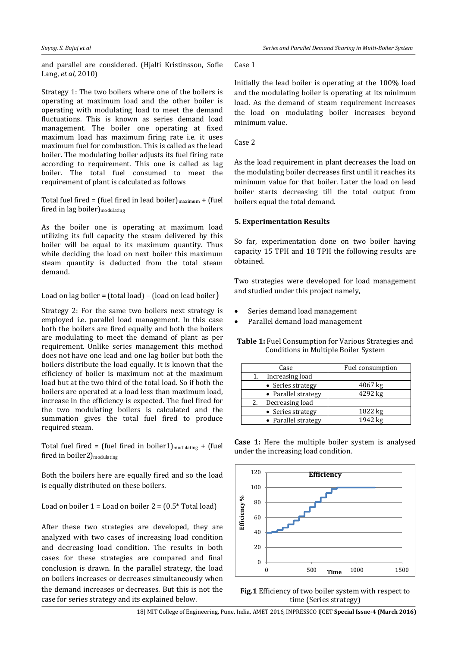and parallel are considered. (Hjalti Kristinsson, Sofie Lang, *et al,* 2010)

Strategy 1: The two boilers where one of the boilers is operating at maximum load and the other boiler is operating with modulating load to meet the demand fluctuations. This is known as series demand load management. The boiler one operating at fixed maximum load has maximum firing rate i.e. it uses maximum fuel for combustion. This is called as the lead boiler. The modulating boiler adjusts its fuel firing rate according to requirement. This one is called as lag boiler. The total fuel consumed to meet the requirement of plant is calculated as follows

Total fuel fired = (fuel fired in lead boiler) $_{\text{maximum}} +$  (fuel fired in lag boiler $)$ <sub>modulating</sub>

As the boiler one is operating at maximum load utilizing its full capacity the steam delivered by this boiler will be equal to its maximum quantity. Thus while deciding the load on next boiler this maximum steam quantity is deducted from the total steam demand.

#### Load on lag boiler = (total load) – (load on lead boiler)

Strategy 2: For the same two boilers next strategy is employed i.e. parallel load management. In this case both the boilers are fired equally and both the boilers are modulating to meet the demand of plant as per requirement. Unlike series management this method does not have one lead and one lag boiler but both the boilers distribute the load equally. It is known that the efficiency of boiler is maximum not at the maximum load but at the two third of the total load. So if both the boilers are operated at a load less than maximum load, increase in the efficiency is expected. The fuel fired for the two modulating boilers is calculated and the summation gives the total fuel fired to produce required steam.

Total fuel fired = (fuel fired in boiler1) $_{modulating}$  + (fuel fired in boiler2)<sub>modulating</sub>

Both the boilers here are equally fired and so the load is equally distributed on these boilers.

Load on boiler  $1 =$  Load on boiler  $2 = (0.5^* \text{ Total load})$ 

After these two strategies are developed, they are analyzed with two cases of increasing load condition and decreasing load condition. The results in both cases for these strategies are compared and final conclusion is drawn. In the parallel strategy, the load on boilers increases or decreases simultaneously when the demand increases or decreases. But this is not the case for series strategy and its explained below.

#### Case 1

Initially the lead boiler is operating at the 100% load and the modulating boiler is operating at its minimum load. As the demand of steam requirement increases the load on modulating boiler increases beyond minimum value.

#### Case 2

As the load requirement in plant decreases the load on the modulating boiler decreases first until it reaches its minimum value for that boiler. Later the load on lead boiler starts decreasing till the total output from boilers equal the total demand.

### **5. Experimentation Results**

So far, experimentation done on two boiler having capacity 15 TPH and 18 TPH the following results are obtained.

Two strategies were developed for load management and studied under this project namely,

- Series demand load management
- Parallel demand load management

**Table 1:** Fuel Consumption for Various Strategies and Conditions in Multiple Boiler System

| Case                  | Fuel consumption |
|-----------------------|------------------|
| Increasing load<br>1. |                  |
| • Series strategy     | $4067$ kg        |
| • Parallel strategy   | 4292 kg          |
| Decreasing load<br>2. |                  |
| • Series strategy     | 1822 kg          |
| • Parallel strategy   | 1942 kg          |

**Case 1:** Here the multiple boiler system is analysed under the increasing load condition.





18| MIT College of Engineering, Pune, India, AMET 2016, INPRESSCO IJCET **Special Issue-4 (March 2016)**